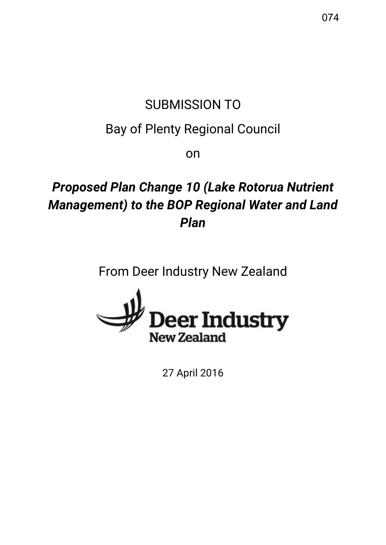# SUBMISSION TO

# Bay of Plenty Regional Council

on

# *Proposed Plan Change 10 (Lake Rotorua Nutrient Management) to the BOP Regional Water and Land Plan*

From Deer Industry New Zealand



27 April 2016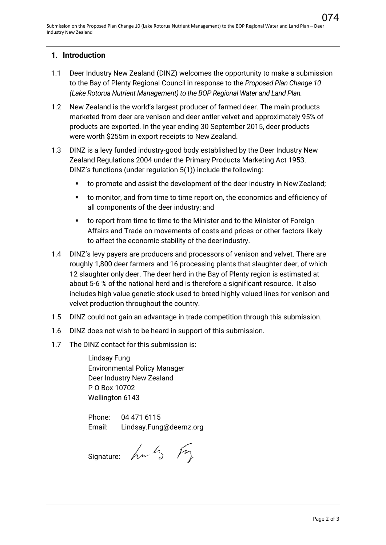#### **1. Introduction**

- 1.1 Deer Industry New Zealand (DINZ) welcomes the opportunity to make a submission to the Bay of Plenty Regional Council in response to the *Proposed Plan Change 10 (Lake Rotorua Nutrient Management) to the BOP Regional Water and Land Plan.*
- 1.2 New Zealand is the world's largest producer of farmed deer. The main products marketed from deer are venison and deer antler velvet and approximately 95% of products are exported. In the year ending 30 September 2015, deer products were worth \$255m in export receipts to New Zealand.
- 1.3 DINZ is a levy funded industry-good body established by the Deer Industry New Zealand Regulations 2004 under the Primary Products Marketing Act 1953. DINZ's functions (under regulation 5(1)) include the following:
	- to promote and assist the development of the deer industry in New Zealand;
	- to monitor, and from time to time report on, the economics and efficiency of all components of the deer industry; and
	- to report from time to time to the Minister and to the Minister of Foreign Affairs and Trade on movements of costs and prices or other factors likely to affect the economic stability of the deer industry.
- 1.4 DINZ's levy payers are producers and processors of venison and velvet. There are roughly 1,800 deer farmers and 16 processing plants that slaughter deer, of which 12 slaughter only deer. The deer herd in the Bay of Plenty region is estimated at about 5-6 % of the national herd and is therefore a significant resource. It also includes high value genetic stock used to breed highly valued lines for venison and velvet production throughout the country.
- 1.5 DINZ could not gain an advantage in trade competition through this submission.
- 1.6 DINZ does not wish to be heard in support of this submission.
- 1.7 The DINZ contact for this submission is:

Lindsay Fung Environmental Policy Manager Deer Industry New Zealand P O Box 10702 Wellington 6143

Phone: 04 471 6115 Email: [Lindsay.Fung@deernz.org](mailto:Lindsay.Fung@deernz.org)

Signature:  $h\nu$   $h$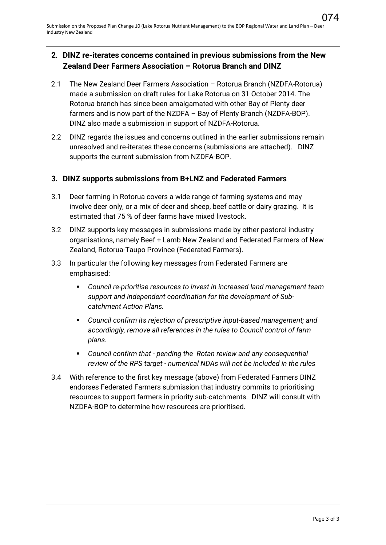### **2. DINZ re-iterates concerns contained in previous submissions from the New Zealand Deer Farmers Association – Rotorua Branch and DINZ**

- 2.1 The New Zealand Deer Farmers Association Rotorua Branch (NZDFA-Rotorua) made a submission on draft rules for Lake Rotorua on 31 October 2014. The Rotorua branch has since been amalgamated with other Bay of Plenty deer farmers and is now part of the NZDFA – Bay of Plenty Branch (NZDFA-BOP). DINZ also made a submission in support of NZDFA-Rotorua.
- 2.2 DINZ regards the issues and concerns outlined in the earlier submissions remain unresolved and re-iterates these concerns (submissions are attached). DINZ supports the current submission from NZDFA-BOP.

#### **3. DINZ supports submissions from B+LNZ and Federated Farmers**

- 3.1 Deer farming in Rotorua covers a wide range of farming systems and may involve deer only, or a mix of deer and sheep, beef cattle or dairy grazing. It is estimated that 75 % of deer farms have mixed livestock.
- 3.2 DINZ supports key messages in submissions made by other pastoral industry organisations, namely Beef + Lamb New Zealand and Federated Farmers of New Zealand, Rotorua-Taupo Province (Federated Farmers).
- 3.3 In particular the following key messages from Federated Farmers are emphasised:
	- *Council re-prioritise resources to invest in increased land management team support and independent coordination for the development of Subcatchment Action Plans.*
	- *Council confirm its rejection of prescriptive input-based management; and accordingly, remove all references in the rules to Council control of farm plans.*
	- *Council confirm that pending the Rotan review and any consequential review of the RPS target - numerical NDAs will not be included in the rules*
- 3.4 With reference to the first key message (above) from Federated Farmers DINZ endorses Federated Farmers submission that industry commits to prioritising resources to support farmers in priority sub-catchments. DINZ will consult with NZDFA-BOP to determine how resources are prioritised.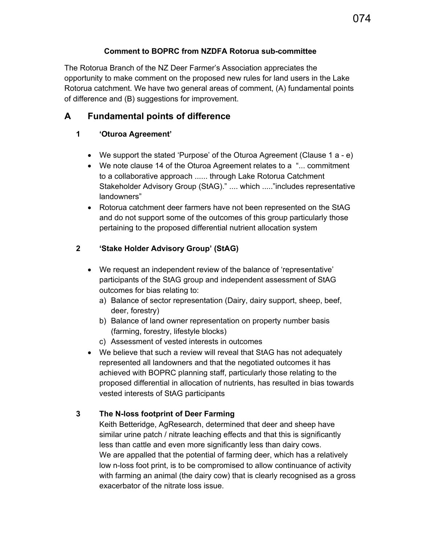### **Comment to BOPRC from NZDFA Rotorua sub-committee**

The Rotorua Branch of the NZ Deer Farmer's Association appreciates the opportunity to make comment on the proposed new rules for land users in the Lake Rotorua catchment. We have two general areas of comment, (A) fundamental points of difference and (B) suggestions for improvement.

## **A Fundamental points of difference**

## **1 'Oturoa Agreement'**

- We support the stated 'Purpose' of the Oturoa Agreement (Clause 1 a e)
- We note clause 14 of the Oturoa Agreement relates to a "... commitment to a collaborative approach ...... through Lake Rotorua Catchment Stakeholder Advisory Group (StAG)." .... which ....."includes representative landowners"
- Rotorua catchment deer farmers have not been represented on the StAG and do not support some of the outcomes of this group particularly those pertaining to the proposed differential nutrient allocation system

## **2 'Stake Holder Advisory Group' (StAG)**

- We request an independent review of the balance of 'representative' participants of the StAG group and independent assessment of StAG outcomes for bias relating to:
	- a) Balance of sector representation (Dairy, dairy support, sheep, beef, deer, forestry)
	- b) Balance of land owner representation on property number basis (farming, forestry, lifestyle blocks)
	- c) Assessment of vested interests in outcomes
- We believe that such a review will reveal that StAG has not adequately represented all landowners and that the negotiated outcomes it has achieved with BOPRC planning staff, particularly those relating to the proposed differential in allocation of nutrients, has resulted in bias towards vested interests of StAG participants

## **3 The N-loss footprint of Deer Farming**

Keith Betteridge, AgResearch, determined that deer and sheep have similar urine patch / nitrate leaching effects and that this is significantly less than cattle and even more significantly less than dairy cows. We are appalled that the potential of farming deer, which has a relatively low n-loss foot print, is to be compromised to allow continuance of activity with farming an animal (the dairy cow) that is clearly recognised as a gross exacerbator of the nitrate loss issue.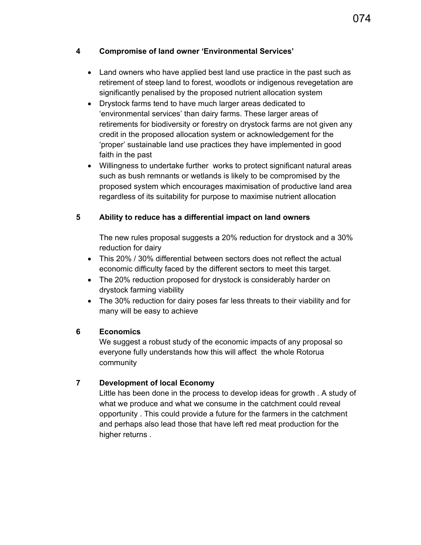#### **4 Compromise of land owner 'Environmental Services'**

- Land owners who have applied best land use practice in the past such as retirement of steep land to forest, woodlots or indigenous revegetation are significantly penalised by the proposed nutrient allocation system
- Drystock farms tend to have much larger areas dedicated to 'environmental services' than dairy farms. These larger areas of retirements for biodiversity or forestry on drystock farms are not given any credit in the proposed allocation system or acknowledgement for the 'proper' sustainable land use practices they have implemented in good faith in the past
- Willingness to undertake further works to protect significant natural areas such as bush remnants or wetlands is likely to be compromised by the proposed system which encourages maximisation of productive land area regardless of its suitability for purpose to maximise nutrient allocation

#### **5 Ability to reduce has a differential impact on land owners**

The new rules proposal suggests a 20% reduction for drystock and a 30% reduction for dairy

- This 20% / 30% differential between sectors does not reflect the actual economic difficulty faced by the different sectors to meet this target.
- The 20% reduction proposed for drystock is considerably harder on drystock farming viability
- The 30% reduction for dairy poses far less threats to their viability and for many will be easy to achieve

#### **6 Economics**

We suggest a robust study of the economic impacts of any proposal so everyone fully understands how this will affect the whole Rotorua community

### **7 Development of local Economy**

Little has been done in the process to develop ideas for growth . A study of what we produce and what we consume in the catchment could reveal opportunity . This could provide a future for the farmers in the catchment and perhaps also lead those that have left red meat production for the higher returns .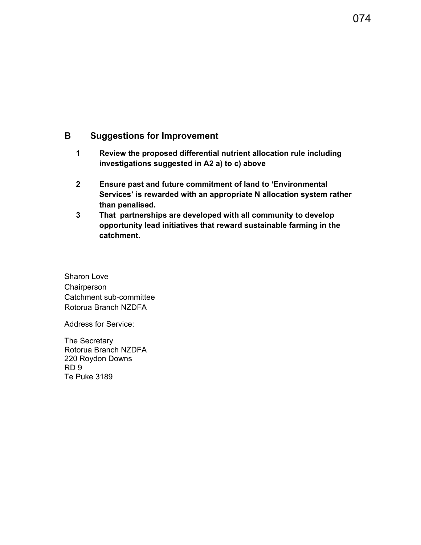### **B Suggestions for Improvement**

- **1 Review the proposed differential nutrient allocation rule including investigations suggested in A2 a) to c) above**
- **2 Ensure past and future commitment of land to 'Environmental Services' is rewarded with an appropriate N allocation system rather than penalised.**
- **3 That partnerships are developed with all community to develop opportunity lead initiatives that reward sustainable farming in the catchment.**

Sharon Love **Chairperson** Catchment sub-committee Rotorua Branch NZDFA

Address for Service:

The Secretary Rotorua Branch NZDFA 220 Roydon Downs RD 9 Te Puke 3189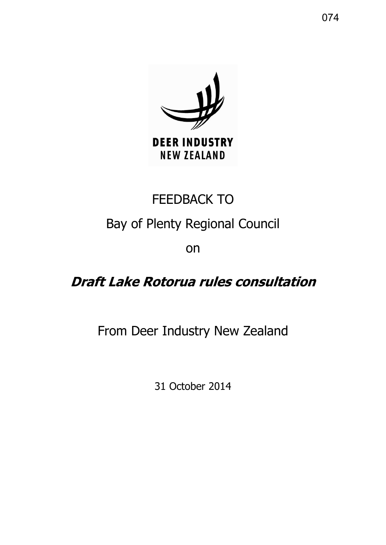

# FEEDBACK TO

# Bay of Plenty Regional Council

on

# **Draft Lake Rotorua rules consultation**

# From Deer Industry New Zealand

31 October 2014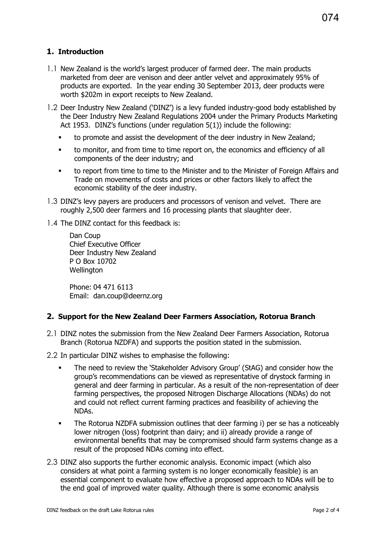### **1. Introduction**

- 1.1 New Zealand is the world's largest producer of farmed deer. The main products marketed from deer are venison and deer antler velvet and approximately 95% of products are exported. In the year ending 30 September 2013, deer products were worth \$202m in export receipts to New Zealand.
- 1.2 Deer Industry New Zealand ('DINZ') is a levy funded industry-good body established by the Deer Industry New Zealand Regulations 2004 under the Primary Products Marketing Act 1953. DINZ's functions (under regulation 5(1)) include the following:
	- to promote and assist the development of the deer industry in New Zealand;
	- to monitor, and from time to time report on, the economics and efficiency of all components of the deer industry; and
	- to report from time to time to the Minister and to the Minister of Foreign Affairs and Trade on movements of costs and prices or other factors likely to affect the economic stability of the deer industry.
- 1.3 DINZ's levy payers are producers and processors of venison and velvet. There are roughly 2,500 deer farmers and 16 processing plants that slaughter deer.
- 1.4 The DINZ contact for this feedback is:

Dan Coup Chief Executive Officer Deer Industry New Zealand P O Box 10702 **Wellington** 

Phone: 04 471 6113 Email: dan.coup@deernz.org

### **2. Support for the New Zealand Deer Farmers Association, Rotorua Branch**

- 2.1 DINZ notes the submission from the New Zealand Deer Farmers Association, Rotorua Branch (Rotorua NZDFA) and supports the position stated in the submission.
- 2.2 In particular DINZ wishes to emphasise the following:
	- The need to review the 'Stakeholder Advisory Group' (StAG) and consider how the group's recommendations can be viewed as representative of drystock farming in general and deer farming in particular. As a result of the non-representation of deer farming perspectives, the proposed Nitrogen Discharge Allocations (NDAs) do not and could not reflect current farming practices and feasibility of achieving the NDAs.
	- The Rotorua NZDFA submission outlines that deer farming i) per se has a noticeably lower nitrogen (loss) footprint than dairy; and ii) already provide a range of environmental benefits that may be compromised should farm systems change as a result of the proposed NDAs coming into effect.
- 2.3 DINZ also supports the further economic analysis. Economic impact (which also considers at what point a farming system is no longer economically feasible) is an essential component to evaluate how effective a proposed approach to NDAs will be to the end goal of improved water quality. Although there is some economic analysis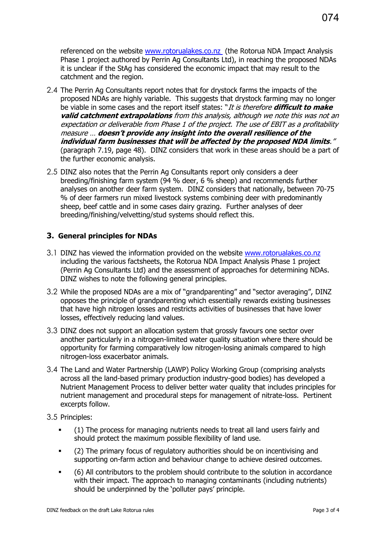referenced on the website [www.rotorualakes.co.nz](http://www.rotorualakes.co.nz/) (the Rotorua NDA Impact Analysis Phase 1 project authored by Perrin Ag Consultants Ltd), in reaching the proposed NDAs it is unclear if the StAg has considered the economic impact that may result to the catchment and the region.

- 2.4 The Perrin Ag Consultants report notes that for drystock farms the impacts of the proposed NDAs are highly variable. This suggests that drystock farming may no longer be viable in some cases and the report itself states: "It is therefore **difficult to make valid catchment extrapolations** from this analysis, although we note this was not an expectation or deliverable from Phase 1 of the project. The use of EBIT as a profitability measure … **doesn't provide any insight into the overall resilience of the individual farm businesses that will be affected by the proposed NDA limits**." (paragraph 7.19, page 48). DINZ considers that work in these areas should be a part of the further economic analysis.
- 2.5 DINZ also notes that the Perrin Ag Consultants report only considers a deer breeding/finishing farm system (94 % deer, 6 % sheep) and recommends further analyses on another deer farm system. DINZ considers that nationally, between 70-75 % of deer farmers run mixed livestock systems combining deer with predominantly sheep, beef cattle and in some cases dairy grazing. Further analyses of deer breeding/finishing/velvetting/stud systems should reflect this.

#### **3. General principles for NDAs**

- 3.1 DINZ has viewed the information provided on the website [www.rotorualakes.co.nz](http://www.rotorualakes.co.nz/) including the various factsheets, the Rotorua NDA Impact Analysis Phase 1 project (Perrin Ag Consultants Ltd) and the assessment of approaches for determining NDAs. DINZ wishes to note the following general principles.
- 3.2 While the proposed NDAs are a mix of "grandparenting" and "sector averaging", DINZ opposes the principle of grandparenting which essentially rewards existing businesses that have high nitrogen losses and restricts activities of businesses that have lower losses, effectively reducing land values.
- 3.3 DINZ does not support an allocation system that grossly favours one sector over another particularly in a nitrogen-limited water quality situation where there should be opportunity for farming comparatively low nitrogen-losing animals compared to high nitrogen-loss exacerbator animals.
- 3.4 The Land and Water Partnership (LAWP) Policy Working Group (comprising analysts across all the land-based primary production industry-good bodies) has developed a Nutrient Management Process to deliver better water quality that includes principles for nutrient management and procedural steps for management of nitrate-loss. Pertinent excerpts follow.
- 3.5 Principles:
	- (1) The process for managing nutrients needs to treat all land users fairly and should protect the maximum possible flexibility of land use.
	- (2) The primary focus of regulatory authorities should be on incentivising and supporting on-farm action and behaviour change to achieve desired outcomes.
	- (6) All contributors to the problem should contribute to the solution in accordance with their impact. The approach to managing contaminants (including nutrients) should be underpinned by the 'polluter pays' principle.